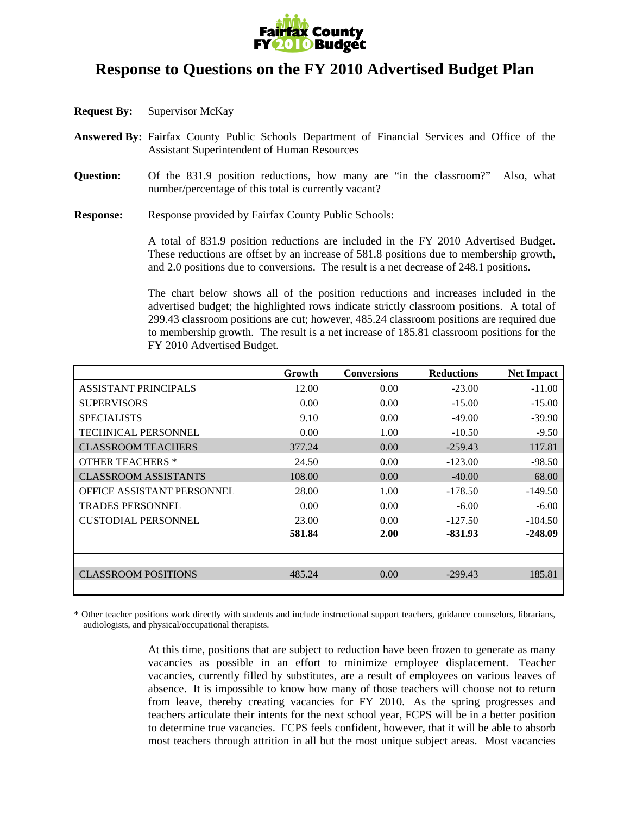

## **Response to Questions on the FY 2010 Advertised Budget Plan**

- **Request By:** Supervisor McKay
- **Answered By:** Fairfax County Public Schools Department of Financial Services and Office of the Assistant Superintendent of Human Resources
- **Question:** Of the 831.9 position reductions, how many are "in the classroom?" Also, what number/percentage of this total is currently vacant?
- **Response:** Response provided by Fairfax County Public Schools:

A total of 831.9 position reductions are included in the FY 2010 Advertised Budget. These reductions are offset by an increase of 581.8 positions due to membership growth, and 2.0 positions due to conversions. The result is a net decrease of 248.1 positions.

 The chart below shows all of the position reductions and increases included in the advertised budget; the highlighted rows indicate strictly classroom positions. A total of 299.43 classroom positions are cut; however, 485.24 classroom positions are required due to membership growth. The result is a net increase of 185.81 classroom positions for the FY 2010 Advertised Budget.

|                                   | Growth | <b>Conversions</b> | <b>Reductions</b> | <b>Net Impact</b> |
|-----------------------------------|--------|--------------------|-------------------|-------------------|
| <b>ASSISTANT PRINCIPALS</b>       | 12.00  | 0.00               | $-23.00$          | $-11.00$          |
| <b>SUPERVISORS</b>                | 0.00   | 0.00               | $-15.00$          | $-15.00$          |
| <b>SPECIALISTS</b>                | 9.10   | 0.00               | $-49.00$          | $-39.90$          |
| TECHNICAL PERSONNEL               | 0.00   | 1.00               | $-10.50$          | $-9.50$           |
| <b>CLASSROOM TEACHERS</b>         | 377.24 | 0.00               | $-259.43$         | 117.81            |
| <b>OTHER TEACHERS *</b>           | 24.50  | 0.00               | $-123.00$         | $-98.50$          |
| <b>CLASSROOM ASSISTANTS</b>       | 108.00 | 0.00               | $-40.00$          | 68.00             |
| <b>OFFICE ASSISTANT PERSONNEL</b> | 28.00  | 1.00               | $-178.50$         | $-149.50$         |
| <b>TRADES PERSONNEL</b>           | 0.00   | 0.00               | $-6.00$           | $-6.00$           |
| <b>CUSTODIAL PERSONNEL</b>        | 23.00  | 0.00               | $-127.50$         | $-104.50$         |
|                                   | 581.84 | 2.00               | $-831.93$         | $-248.09$         |
|                                   |        |                    |                   |                   |
|                                   |        |                    |                   |                   |
| <b>CLASSROOM POSITIONS</b>        | 485.24 | 0.00               | $-299.43$         | 185.81            |
|                                   |        |                    |                   |                   |

\* Other teacher positions work directly with students and include instructional support teachers, guidance counselors, librarians, audiologists, and physical/occupational therapists.

> At this time, positions that are subject to reduction have been frozen to generate as many vacancies as possible in an effort to minimize employee displacement. Teacher vacancies, currently filled by substitutes, are a result of employees on various leaves of absence. It is impossible to know how many of those teachers will choose not to return from leave, thereby creating vacancies for FY 2010. As the spring progresses and teachers articulate their intents for the next school year, FCPS will be in a better position to determine true vacancies. FCPS feels confident, however, that it will be able to absorb most teachers through attrition in all but the most unique subject areas. Most vacancies